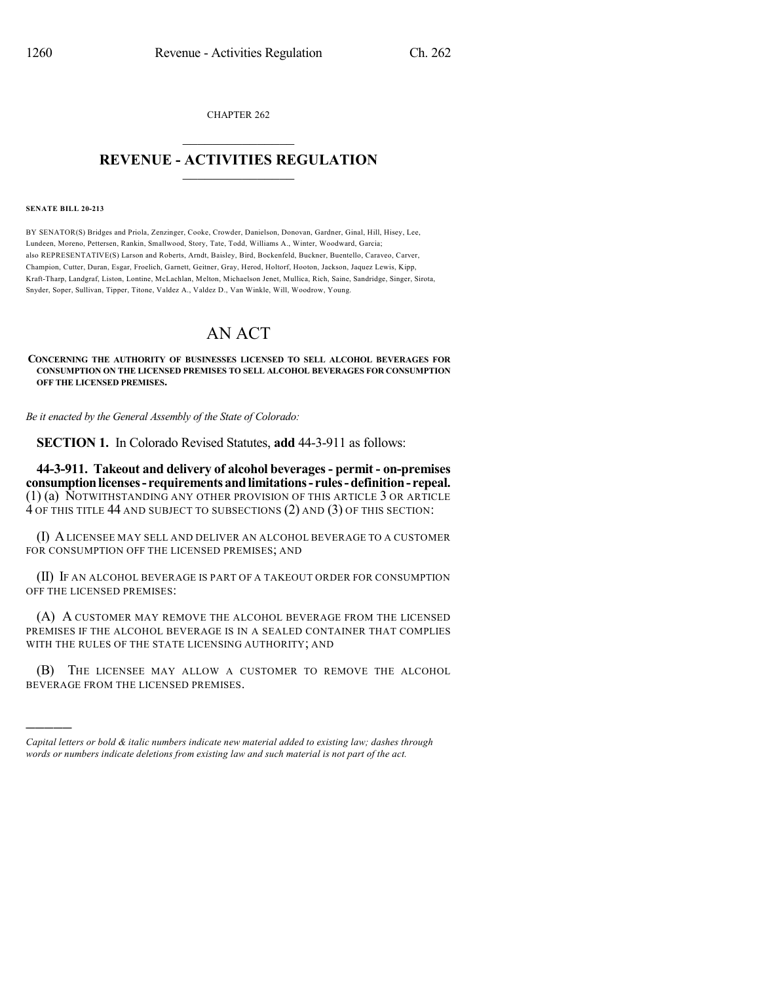CHAPTER 262  $\mathcal{L}_\text{max}$  . The set of the set of the set of the set of the set of the set of the set of the set of the set of the set of the set of the set of the set of the set of the set of the set of the set of the set of the set

## **REVENUE - ACTIVITIES REGULATION**  $\_$   $\_$   $\_$   $\_$   $\_$   $\_$   $\_$   $\_$

**SENATE BILL 20-213**

)))))

BY SENATOR(S) Bridges and Priola, Zenzinger, Cooke, Crowder, Danielson, Donovan, Gardner, Ginal, Hill, Hisey, Lee, Lundeen, Moreno, Pettersen, Rankin, Smallwood, Story, Tate, Todd, Williams A., Winter, Woodward, Garcia; also REPRESENTATIVE(S) Larson and Roberts, Arndt, Baisley, Bird, Bockenfeld, Buckner, Buentello, Caraveo, Carver, Champion, Cutter, Duran, Esgar, Froelich, Garnett, Geitner, Gray, Herod, Holtorf, Hooton, Jackson, Jaquez Lewis, Kipp, Kraft-Tharp, Landgraf, Liston, Lontine, McLachlan, Melton, Michaelson Jenet, Mullica, Rich, Saine, Sandridge, Singer, Sirota, Snyder, Soper, Sullivan, Tipper, Titone, Valdez A., Valdez D., Van Winkle, Will, Woodrow, Young.

## AN ACT

**CONCERNING THE AUTHORITY OF BUSINESSES LICENSED TO SELL ALCOHOL BEVERAGES FOR CONSUMPTION ON THE LICENSED PREMISES TO SELL ALCOHOL BEVERAGES FOR CONSUMPTION OFF THE LICENSED PREMISES.**

*Be it enacted by the General Assembly of the State of Colorado:*

**SECTION 1.** In Colorado Revised Statutes, **add** 44-3-911 as follows:

**44-3-911. Takeout and delivery of alcohol beverages- permit - on-premises consumptionlicenses- requirementsandlimitations- rules-definition- repeal.** (1) (a) NOTWITHSTANDING ANY OTHER PROVISION OF THIS ARTICLE 3 OR ARTICLE 4 OF THIS TITLE 44 AND SUBJECT TO SUBSECTIONS (2) AND (3) OF THIS SECTION:

(I) ALICENSEE MAY SELL AND DELIVER AN ALCOHOL BEVERAGE TO A CUSTOMER FOR CONSUMPTION OFF THE LICENSED PREMISES; AND

(II) IF AN ALCOHOL BEVERAGE IS PART OF A TAKEOUT ORDER FOR CONSUMPTION OFF THE LICENSED PREMISES:

(A) A CUSTOMER MAY REMOVE THE ALCOHOL BEVERAGE FROM THE LICENSED PREMISES IF THE ALCOHOL BEVERAGE IS IN A SEALED CONTAINER THAT COMPLIES WITH THE RULES OF THE STATE LICENSING AUTHORITY; AND

(B) THE LICENSEE MAY ALLOW A CUSTOMER TO REMOVE THE ALCOHOL BEVERAGE FROM THE LICENSED PREMISES.

*Capital letters or bold & italic numbers indicate new material added to existing law; dashes through words or numbers indicate deletions from existing law and such material is not part of the act.*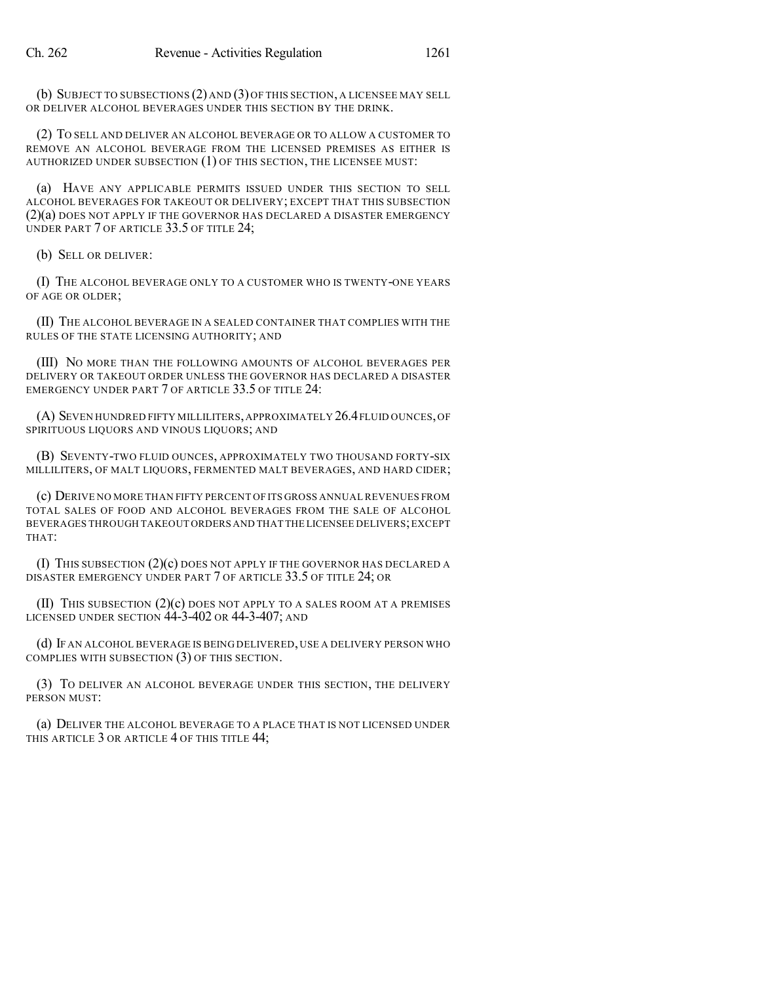(b) SUBJECT TO SUBSECTIONS (2) AND (3) OF THIS SECTION, A LICENSEE MAY SELL OR DELIVER ALCOHOL BEVERAGES UNDER THIS SECTION BY THE DRINK.

(2) TO SELL AND DELIVER AN ALCOHOL BEVERAGE OR TO ALLOW A CUSTOMER TO REMOVE AN ALCOHOL BEVERAGE FROM THE LICENSED PREMISES AS EITHER IS AUTHORIZED UNDER SUBSECTION (1) OF THIS SECTION, THE LICENSEE MUST:

(a) HAVE ANY APPLICABLE PERMITS ISSUED UNDER THIS SECTION TO SELL ALCOHOL BEVERAGES FOR TAKEOUT OR DELIVERY; EXCEPT THAT THIS SUBSECTION (2)(a) DOES NOT APPLY IF THE GOVERNOR HAS DECLARED A DISASTER EMERGENCY UNDER PART 7 OF ARTICLE 33.5 OF TITLE 24;

(b) SELL OR DELIVER:

(I) THE ALCOHOL BEVERAGE ONLY TO A CUSTOMER WHO IS TWENTY-ONE YEARS OF AGE OR OLDER;

(II) THE ALCOHOL BEVERAGE IN A SEALED CONTAINER THAT COMPLIES WITH THE RULES OF THE STATE LICENSING AUTHORITY; AND

(III) NO MORE THAN THE FOLLOWING AMOUNTS OF ALCOHOL BEVERAGES PER DELIVERY OR TAKEOUT ORDER UNLESS THE GOVERNOR HAS DECLARED A DISASTER EMERGENCY UNDER PART 7 OF ARTICLE 33.5 OF TITLE 24:

(A) SEVEN HUNDRED FIFTY MILLILITERS,APPROXIMATELY 26.4FLUID OUNCES,OF SPIRITUOUS LIQUORS AND VINOUS LIQUORS; AND

(B) SEVENTY-TWO FLUID OUNCES, APPROXIMATELY TWO THOUSAND FORTY-SIX MILLILITERS, OF MALT LIQUORS, FERMENTED MALT BEVERAGES, AND HARD CIDER;

(c) DERIVE NO MORE THAN FIFTY PERCENT OF ITS GROSS ANNUAL REVENUES FROM TOTAL SALES OF FOOD AND ALCOHOL BEVERAGES FROM THE SALE OF ALCOHOL BEVERAGES THROUGH TAKEOUT ORDERS AND THAT THE LICENSEE DELIVERS;EXCEPT THAT:

(I) THIS SUBSECTION (2)(c) DOES NOT APPLY IF THE GOVERNOR HAS DECLARED A DISASTER EMERGENCY UNDER PART 7 OF ARTICLE 33.5 OF TITLE 24; OR

(II) THIS SUBSECTION  $(2)(c)$  does not apply to a sales room at a premises LICENSED UNDER SECTION 44-3-402 OR 44-3-407; AND

(d) IF AN ALCOHOL BEVERAGE IS BEING DELIVERED, USE A DELIVERY PERSON WHO COMPLIES WITH SUBSECTION (3) OF THIS SECTION.

(3) TO DELIVER AN ALCOHOL BEVERAGE UNDER THIS SECTION, THE DELIVERY PERSON MUST:

(a) DELIVER THE ALCOHOL BEVERAGE TO A PLACE THAT IS NOT LICENSED UNDER THIS ARTICLE 3 OR ARTICLE 4 OF THIS TITLE 44;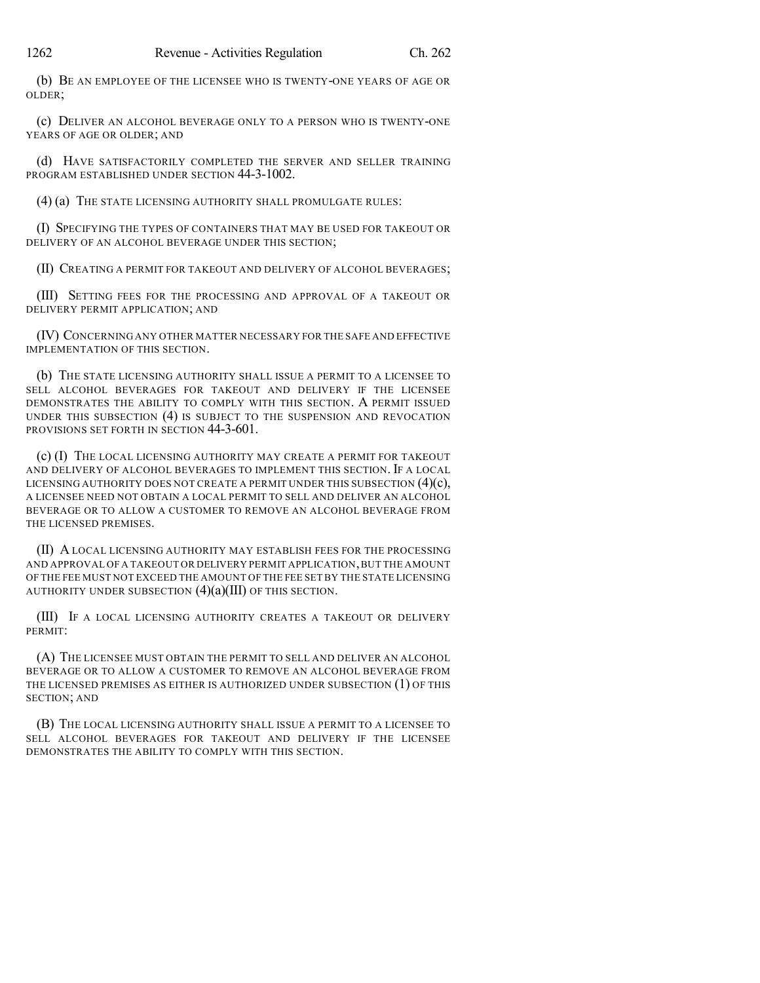(b) BE AN EMPLOYEE OF THE LICENSEE WHO IS TWENTY-ONE YEARS OF AGE OR OLDER;

(c) DELIVER AN ALCOHOL BEVERAGE ONLY TO A PERSON WHO IS TWENTY-ONE YEARS OF AGE OR OLDER; AND

(d) HAVE SATISFACTORILY COMPLETED THE SERVER AND SELLER TRAINING PROGRAM ESTABLISHED UNDER SECTION 44-3-1002.

(4) (a) THE STATE LICENSING AUTHORITY SHALL PROMULGATE RULES:

(I) SPECIFYING THE TYPES OF CONTAINERS THAT MAY BE USED FOR TAKEOUT OR DELIVERY OF AN ALCOHOL BEVERAGE UNDER THIS SECTION;

(II) CREATING A PERMIT FOR TAKEOUT AND DELIVERY OF ALCOHOL BEVERAGES;

(III) SETTING FEES FOR THE PROCESSING AND APPROVAL OF A TAKEOUT OR DELIVERY PERMIT APPLICATION; AND

(IV) CONCERNING ANY OTHER MATTER NECESSARY FOR THE SAFE AND EFFECTIVE IMPLEMENTATION OF THIS SECTION.

(b) THE STATE LICENSING AUTHORITY SHALL ISSUE A PERMIT TO A LICENSEE TO SELL ALCOHOL BEVERAGES FOR TAKEOUT AND DELIVERY IF THE LICENSEE DEMONSTRATES THE ABILITY TO COMPLY WITH THIS SECTION. A PERMIT ISSUED UNDER THIS SUBSECTION (4) IS SUBJECT TO THE SUSPENSION AND REVOCATION PROVISIONS SET FORTH IN SECTION 44-3-601.

(c) (I) THE LOCAL LICENSING AUTHORITY MAY CREATE A PERMIT FOR TAKEOUT AND DELIVERY OF ALCOHOL BEVERAGES TO IMPLEMENT THIS SECTION. IF A LOCAL LICENSING AUTHORITY DOES NOT CREATE A PERMIT UNDER THIS SUBSECTION (4)(c), A LICENSEE NEED NOT OBTAIN A LOCAL PERMIT TO SELL AND DELIVER AN ALCOHOL BEVERAGE OR TO ALLOW A CUSTOMER TO REMOVE AN ALCOHOL BEVERAGE FROM THE LICENSED PREMISES.

(II) A LOCAL LICENSING AUTHORITY MAY ESTABLISH FEES FOR THE PROCESSING AND APPROVAL OF A TAKEOUT OR DELIVERY PERMIT APPLICATION,BUT THE AMOUNT OF THE FEE MUST NOT EXCEED THE AMOUNT OF THE FEE SET BY THE STATE LICENSING AUTHORITY UNDER SUBSECTION  $(4)(a)(III)$  OF THIS SECTION.

(III) IF A LOCAL LICENSING AUTHORITY CREATES A TAKEOUT OR DELIVERY PERMIT:

(A) THE LICENSEE MUST OBTAIN THE PERMIT TO SELL AND DELIVER AN ALCOHOL BEVERAGE OR TO ALLOW A CUSTOMER TO REMOVE AN ALCOHOL BEVERAGE FROM THE LICENSED PREMISES AS EITHER IS AUTHORIZED UNDER SUBSECTION (1) OF THIS SECTION; AND

(B) THE LOCAL LICENSING AUTHORITY SHALL ISSUE A PERMIT TO A LICENSEE TO SELL ALCOHOL BEVERAGES FOR TAKEOUT AND DELIVERY IF THE LICENSEE DEMONSTRATES THE ABILITY TO COMPLY WITH THIS SECTION.